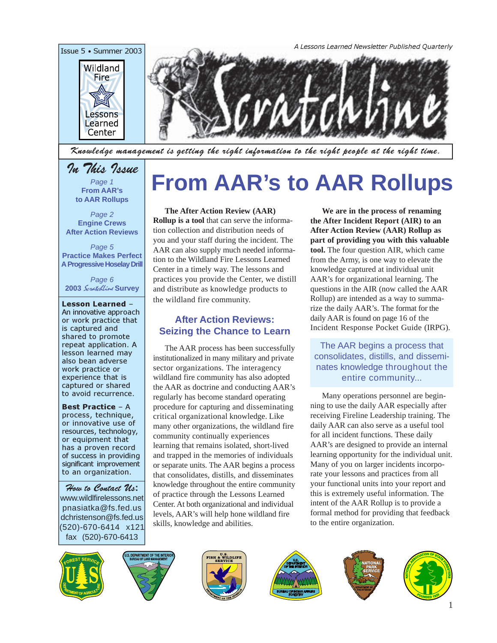

Knowledge management is getting the right information to the right people at the right time.

## In This Issue

Page 1 **From AAR's to AAR Rollups**

Page 2 **Engine Crews After Action Reviews**

Page 5 **Practice Makes Perfect A Progressive Hoselay Drill**

Page 6 **2003** ScratchLine **Survey**

Lesson Learned – An innovative approach or work practice that is captured and shared to promote repeat application. A lesson learned may also bean adverse work practice or experience that is captured or shared to avoid recurrence.

Best Practice – A process, technique, or innovative use of resources, technology, or equipment that has a proven record of success in providing significant improvement to an organization.

How to Contact U*s***:** [www.wildlfirelessons.net](http://wildfirelessons.net) pnasiatka@fs.fed.us dchristenson@fs.fed.us (520)-670-6414 x121 fax (520)-670-6413

# **From AAR's to AAR Rollups**

#### **The After Action Review (AAR)**

**Rollup is a tool** that can serve the information collection and distribution needs of you and your staff during the incident. The AAR can also supply much needed information to the Wildland Fire Lessons Learned Center in a timely way. The lessons and practices you provide the Center, we distill and distribute as knowledge products to the wildland fire community.

#### **After Action Reviews: Seizing the Chance to Learn**

The AAR process has been successfully institutionalized in many military and private sector organizations. The interagency wildland fire community has also adopted the AAR as doctrine and conducting AAR's regularly has become standard operating procedure for capturing and disseminating critical organizational knowledge. Like many other organizations, the wildland fire community continually experiences learning that remains isolated, short-lived and trapped in the memories of individuals or separate units. The AAR begins a process that consolidates, distills, and disseminates knowledge throughout the entire community of practice through the Lessons Learned Center. At both organizational and individual levels, AAR's will help hone wildland fire skills, knowledge and abilities.

**We are in the process of renaming the After Incident Report (AIR) to an After Action Review (AAR) Rollup as part of providing you with this valuable tool.** The four question AIR, which came from the Army, is one way to elevate the knowledge captured at individual unit AAR's for organizational learning. The questions in the AIR (now called the AAR Rollup) are intended as a way to summarize the daily AAR's. The format for the daily AAR is found on page 16 of the Incident Response Pocket Guide (IRPG).

The AAR begins a process that consolidates, distills, and disseminates knowledge throughout the entire community...

Many operations personnel are beginning to use the daily AAR especially after receiving Fireline Leadership training. The daily AAR can also serve as a useful tool for all incident functions. These daily AAR's are designed to provide an internal learning opportunity for the individual unit. Many of you on larger incidents incorporate your lessons and practices from all your functional units into your report and this is extremely useful information. The intent of the AAR Rollup is to provide a formal method for providing that feedback to the entire organization.











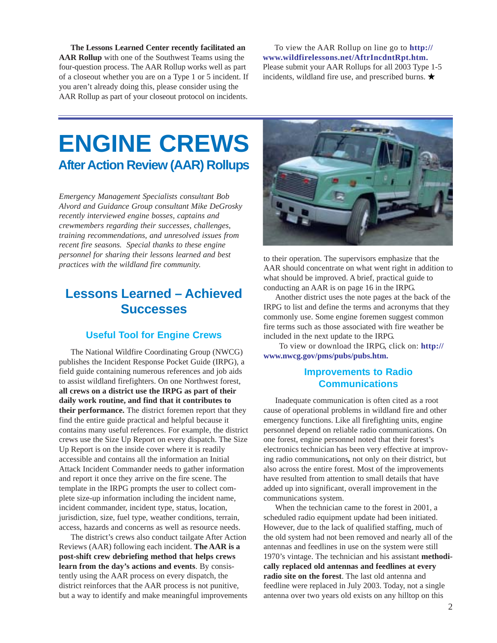**The Lessons Learned Center recently facilitated an AAR Rollup** with one of the Southwest Teams using the four-question process. The AAR Rollup works well as part of a closeout whether you are on a Type 1 or 5 incident. If you aren't already doing this, please consider using the AAR Rollup as part of your closeout protocol on incidents.

To view the AAR Rollup on line go to **[http://](http://www.wildfirelessons.net/AftrIncdntRpt.htm) [www.wildfirelessons.net/AftrIncdntRpt.htm](http://www.wildfirelessons.net/AftrIncdntRpt.htm).** Please submit your AAR Rollups for all 2003 Type 1-5 incidents, wildland fire use, and prescribed burns.  $\star$ 

## **ENGINE CREWS After Action Review (AAR) Rollups**

*Emergency Management Specialists consultant Bob Alvord and Guidance Group consultant Mike DeGrosky recently interviewed engine bosses, captains and crewmembers regarding their successes, challenges, training recommendations, and unresolved issues from recent fire seasons. Special thanks to these engine personnel for sharing their lessons learned and best practices with the wildland fire community.*

### **Lessons Learned – Achieved Successes**

#### **Useful Tool for Engine Crews**

The National Wildfire Coordinating Group (NWCG) publishes the Incident Response Pocket Guide (IRPG), a field guide containing numerous references and job aids to assist wildland firefighters. On one Northwest forest, **all crews on a district use the IRPG as part of their daily work routine, and find that it contributes to their performance.** The district foremen report that they find the entire guide practical and helpful because it contains many useful references. For example, the district crews use the Size Up Report on every dispatch. The Size Up Report is on the inside cover where it is readily accessible and contains all the information an Initial Attack Incident Commander needs to gather information and report it once they arrive on the fire scene. The template in the IRPG prompts the user to collect complete size-up information including the incident name, incident commander, incident type, status, location, jurisdiction, size, fuel type, weather conditions, terrain, access, hazards and concerns as well as resource needs.

The district's crews also conduct tailgate After Action Reviews (AAR) following each incident. **The AAR is a post-shift crew debriefing method that helps crews learn from the day's actions and events**. By consistently using the AAR process on every dispatch, the district reinforces that the AAR process is not punitive, but a way to identify and make meaningful improvements



to their operation. The supervisors emphasize that the AAR should concentrate on what went right in addition to what should be improved. A brief, practical guide to conducting an AAR is on page 16 in the IRPG.

Another district uses the note pages at the back of the IRPG to list and define the terms and acronyms that they commonly use. Some engine foremen suggest common fire terms such as those associated with fire weather be included in the next update to the IRPG.

 To view or download the IRPG, click on: **[http://](http://www.nwcg.gov/pms/pubs/pubs.htm) [www.nwcg.gov/pms/pubs/pubs.htm](http://www.nwcg.gov/pms/pubs/pubs.htm).**

#### **Improvements to Radio Communications**

Inadequate communication is often cited as a root cause of operational problems in wildland fire and other emergency functions. Like all firefighting units, engine personnel depend on reliable radio communications. On one forest, engine personnel noted that their forest's electronics technician has been very effective at improving radio communications*,* not only on their district, but also across the entire forest. Most of the improvements have resulted from attention to small details that have added up into significant, overall improvement in the communications system.

When the technician came to the forest in 2001, a scheduled radio equipment update had been initiated. However, due to the lack of qualified staffing, much of the old system had not been removed and nearly all of the antennas and feedlines in use on the system were still 1970's vintage. The technician and his assistant **methodically replaced old antennas and feedlines at every radio site on the forest**. The last old antenna and feedline were replaced in July 2003. Today, not a single antenna over two years old exists on any hilltop on this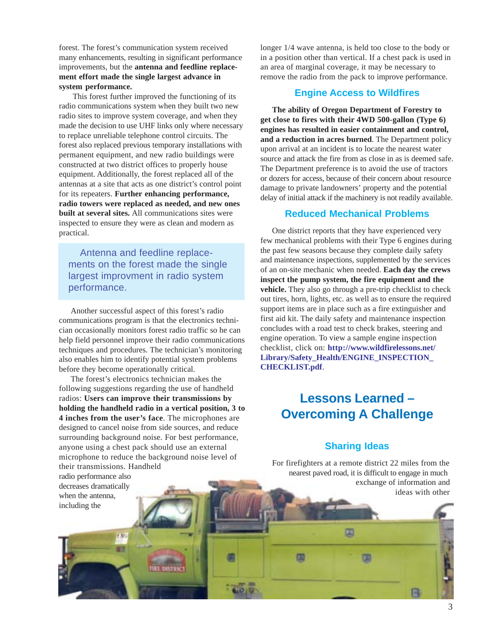forest. The forest's communication system received many enhancements, resulting in significant performance improvements, but the **antenna and feedline replacement effort made the single largest advance in system performance.**

 This forest further improved the functioning of its radio communications system when they built two new radio sites to improve system coverage, and when they made the decision to use UHF links only where necessary to replace unreliable telephone control circuits. The forest also replaced previous temporary installations with permanent equipment, and new radio buildings were constructed at two district offices to properly house equipment. Additionally, the forest replaced all of the antennas at a site that acts as one district's control point for its repeaters. **Further enhancing performance, radio towers were replaced as needed, and new ones built at several sites.** All communications sites were inspected to ensure they were as clean and modern as practical.

Antenna and feedline replacements on the forest made the single largest improvment in radio system performance.

Another successful aspect of this forest's radio communications program is that the electronics technician occasionally monitors forest radio traffic so he can help field personnel improve their radio communications techniques and procedures. The technician's monitoring also enables him to identify potential system problems before they become operationally critical.

The forest's electronics technician makes the following suggestions regarding the use of handheld radios: **Users can improve their transmissions by holding the handheld radio in a vertical position, 3 to 4 inches from the user's face**. The microphones are designed to cancel noise from side sources, and reduce surrounding background noise. For best performance, anyone using a chest pack should use an external microphone to reduce the background noise level of their transmissions. Handheld

**USTRK** 

radio performance also decreases dramatically when the antenna, including the

END

longer 1/4 wave antenna, is held too close to the body or in a position other than vertical. If a chest pack is used in an area of marginal coverage, it may be necessary to remove the radio from the pack to improve performance.

#### **Engine Access to Wildfires**

**The ability of Oregon Department of Forestry to get close to fires with their 4WD 500-gallon (Type 6) engines has resulted in easier containment and control, and a reduction in acres burned**. The Department policy upon arrival at an incident is to locate the nearest water source and attack the fire from as close in as is deemed safe. The Department preference is to avoid the use of tractors or dozers for access, because of their concern about resource damage to private landowners' property and the potential delay of initial attack if the machinery is not readily available.

#### **Reduced Mechanical Problems**

One district reports that they have experienced very few mechanical problems with their Type 6 engines during the past few seasons because they complete daily safety and maintenance inspections, supplemented by the services of an on-site mechanic when needed. **Each day the crews inspect the pump system, the fire equipment and the vehicle.** They also go through a pre-trip checklist to check out tires, horn, lights, etc. as well as to ensure the required support items are in place such as a fire extinguisher and first aid kit. The daily safety and maintenance inspection concludes with a road test to check brakes, steering and engine operation. To view a sample engine inspection checklist, click on: **[http://www.wildfirelessons.net/](http://www.wildfirelessons.net/Library/Safety_Health/ENGINE_INSPECTION_ CHECKLIST.pdf) [Library/Safety\\_Health/ENGINE\\_INSPECTION\\_](http://www.wildfirelessons.net/Library/Safety_Health/ENGINE_INSPECTION_ CHECKLIST.pdf) [CHECKLIST.pdf](http://www.wildfirelessons.net/Library/Safety_Health/ENGINE_INSPECTION_ CHECKLIST.pdf)**.

## **Lessons Learned – Overcoming A Challenge**

#### **Sharing Ideas**

For firefighters at a remote district 22 miles from the nearest paved road, it is difficult to engage in much exchange of information and ideas with other

面

国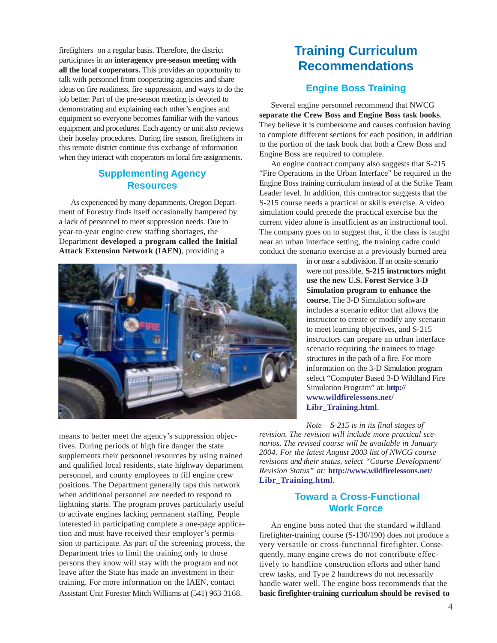firefighters on a regular basis. Therefore, the district participates in an **interagency pre-season meeting with all the local cooperators.** This provides an opportunity to talk with personnel from cooperating agencies and share ideas on fire readiness, fire suppression, and ways to do the job better. Part of the pre-season meeting is devoted to demonstrating and explaining each other's engines and equipment so everyone becomes familiar with the various equipment and procedures. Each agency or unit also reviews their hoselay procedures. During fire season, firefighters in this remote district continue this exchange of information when they interact with cooperators on local fire assignments.

#### **Supplementing Agency Resources**

As experienced by many departments, Oregon Department of Forestry finds itself occasionally hampered by a lack of personnel to meet suppression needs. Due to year-to-year engine crew staffing shortages, the Department **developed a program called the Initial Attack Extension Network (IAEN)**, providing a



means to better meet the agency's suppression objectives. During periods of high fire danger the state supplements their personnel resources by using trained and qualified local residents, state highway department personnel, and county employees to fill engine crew positions. The Department generally taps this network when additional personnel are needed to respond to lightning starts. The program proves particularly useful to activate engines lacking permanent staffing. People interested in participating complete a one-page application and must have received their employer's permission to participate. As part of the screening process, the Department tries to limit the training only to those persons they know will stay with the program and not leave after the State has made an investment in their training. For more information on the IAEN, contact Assistant Unit Forester Mitch Williams at (541) 963-3168.

## **Training Curriculum Recommendations**

#### **Engine Boss Training**

Several engine personnel recommend that NWCG **separate the Crew Boss and Engine Boss task books**. They believe it is cumbersome and causes confusion having to complete different sections for each position, in addition to the portion of the task book that both a Crew Boss and Engine Boss are required to complete.

An engine contract company also suggests that S-215 "Fire Operations in the Urban Interface" be required in the Engine Boss training curriculum instead of at the Strike Team Leader level. In addition, this contractor suggests that the S-215 course needs a practical or skills exercise. A video simulation could precede the practical exercise but the current video alone is insufficient as an instructional tool. The company goes on to suggest that, if the class is taught near an urban interface setting, the training cadre could conduct the scenario exercise at a previously burned area

> in or near a subdivision. If an onsite scenario were not possible, **S-215 instructors might use the new U.S. Forest Service 3-D Simulation program to enhance the course**. The 3-D Simulation software includes a scenario editor that allows the instructor to create or modify any scenario to meet learning objectives, and S-215 instructors can prepare an urban interface scenario requiring the trainees to triage structures in the path of a fire. For more information on the 3-D Simulation program select "Computer Based 3-D Wildland Fire Simulation Program" at: **[http://](http://www.wildfirelessons.net/Libr_Training.html) [www.wildfirelessons.net/](http://www.wildfirelessons.net/Libr_Training.html) [Libr\\_Training.html](http://www.wildfirelessons.net/Libr_Training.html)**.

*Note – S-215 is in its final stages of revision. The revision will include more practical scenarios. The revised course will be available in January 2004. For the latest August 2003 list of NWCG course revisions and their status, select "Course Development/ Revision Status" at:* **[http://www.wildfirelessons.net/](http://www.wildfirelessons.net/Libr_Training.html) [Libr\\_Training.html](http://www.wildfirelessons.net/Libr_Training.html)***.*

#### **Toward a Cross-Functional Work Force**

An engine boss noted that the standard wildland firefighter-training course (S-130/190) does not produce a very versatile or cross-functional firefighter. Consequently, many engine crews do not contribute effectively to handline construction efforts and other hand crew tasks, and Type 2 handcrews do not necessarily handle water well. The engine boss recommends that the **basic firefighter-training curriculum should be revised to**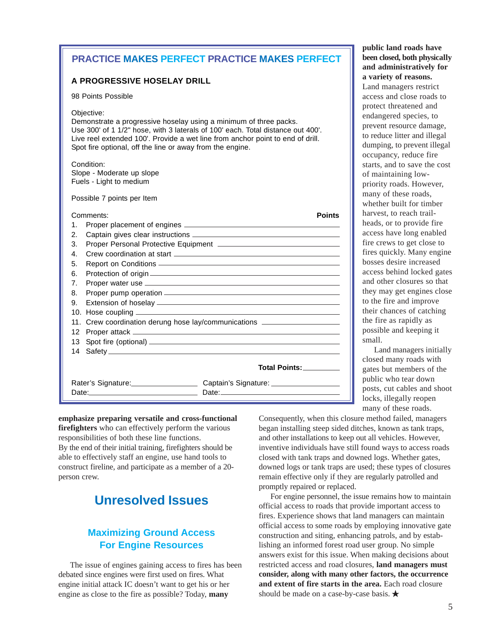#### **PRACTICE MAKES PERFECT PRACTICE MAKES PERFECT**

#### **A PROGRESSIVE HOSELAY DRILL**

98 Points Possible

Objective:

Demonstrate a progressive hoselay using a minimum of three packs. Use 300' of 1 1/2" hose, with 3 laterals of 100' each. Total distance out 400'. Live reel extended 100'. Provide a wet line from anchor point to end of drill. Spot fire optional, off the line or away from the engine.

Condition: Slope - Moderate up slope Fuels - Light to medium

Possible 7 points per Item

#### Comments: **Points** 1. Proper placement of engines 2. Captain gives clear instructions **2. Captain gives** 3. Proper Personal Protective Equipment 4. Crew coordination at start 5. Report on Conditions 6. Protection of origin 7. Proper water use 8. Proper pump operation <u>example and the contract of the set of the set of the set of the set of the set of the set of the set of the set of the set of the set of the set of the set of the set of the set of the set of the</u> 9. Extension of hoselay 10. Hose coupling 11. Crew coordination derung hose lay/communications 12 Proper attack 13 Spot fire (optional) 14 Safety  **Total Points:** Rater's Signature: Captain's Signature: Date: Date:

**been closed, both physically and administratively for a variety of reasons.** Land managers restrict access and close roads to protect threatened and endangered species, to prevent resource damage, to reduce litter and illegal dumping, to prevent illegal occupancy, reduce fire starts, and to save the cost of maintaining lowpriority roads. However, many of these roads, whether built for timber harvest, to reach trailheads, or to provide fire access have long enabled fire crews to get close to fires quickly. Many engine bosses desire increased access behind locked gates and other closures so that they may get engines close to the fire and improve their chances of catching the fire as rapidly as possible and keeping it small.

**public land roads have**

Land managers initially closed many roads with gates but members of the public who tear down posts, cut cables and shoot locks, illegally reopen many of these roads.

**emphasize preparing versatile and cross-functional firefighters** who can effectively perform the various responsibilities of both these line functions. By the end of their initial training, firefighters should be able to effectively staff an engine, use hand tools to construct fireline, and participate as a member of a 20 person crew.

## **Unresolved Issues**

#### **Maximizing Ground Access For Engine Resources**

The issue of engines gaining access to fires has been debated since engines were first used on fires. What engine initial attack IC doesn't want to get his or her engine as close to the fire as possible? Today, **many**

Consequently, when this closure method failed, managers began installing steep sided ditches, known as tank traps, and other installations to keep out all vehicles. However, inventive individuals have still found ways to access roads closed with tank traps and downed logs. Whether gates, downed logs or tank traps are used; these types of closures remain effective only if they are regularly patrolled and promptly repaired or replaced.

For engine personnel, the issue remains how to maintain official access to roads that provide important access to fires. Experience shows that land managers can maintain official access to some roads by employing innovative gate construction and siting, enhancing patrols, and by establishing an informed forest road user group. No simple answers exist for this issue. When making decisions about restricted access and road closures, **land managers must consider, along with many other factors, the occurrence and extent of fire starts in the area.** Each road closure should be made on a case-by-case basis. ★